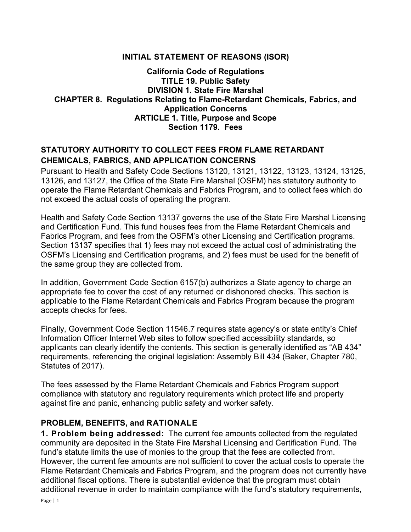### INITIAL STATEMENT OF REASONS (ISOR)

#### California Code of Regulations TITLE 19. Public Safety DIVISION 1. State Fire Marshal CHAPTER 8. Regulations Relating to Flame-Retardant Chemicals, Fabrics, and Application Concerns ARTICLE 1. Title, Purpose and Scope Section 1179. Fees

### STATUTORY AUTHORITY TO COLLECT FEES FROM FLAME RETARDANT CHEMICALS, FABRICS, AND APPLICATION CONCERNS

Pursuant to Health and Safety Code Sections 13120, 13121, 13122, 13123, 13124, 13125, 13126, and 13127, the Office of the State Fire Marshal (OSFM) has statutory authority to operate the Flame Retardant Chemicals and Fabrics Program, and to collect fees which do not exceed the actual costs of operating the program.

Health and Safety Code Section 13137 governs the use of the State Fire Marshal Licensing and Certification Fund. This fund houses fees from the Flame Retardant Chemicals and Fabrics Program, and fees from the OSFM's other Licensing and Certification programs. Section 13137 specifies that 1) fees may not exceed the actual cost of administrating the OSFM's Licensing and Certification programs, and 2) fees must be used for the benefit of the same group they are collected from.

In addition, Government Code Section 6157(b) authorizes a State agency to charge an appropriate fee to cover the cost of any returned or dishonored checks. This section is applicable to the Flame Retardant Chemicals and Fabrics Program because the program accepts checks for fees.

Finally, Government Code Section 11546.7 requires state agency's or state entity's Chief Information Officer Internet Web sites to follow specified accessibility standards, so applicants can clearly identify the contents. This section is generally identified as "AB 434" requirements, referencing the original legislation: Assembly Bill 434 (Baker, Chapter 780, Statutes of 2017).

The fees assessed by the Flame Retardant Chemicals and Fabrics Program support compliance with statutory and regulatory requirements which protect life and property against fire and panic, enhancing public safety and worker safety.

#### PROBLEM, BENEFITS, and RATIONALE

1. Problem being addressed: The current fee amounts collected from the regulated community are deposited in the State Fire Marshal Licensing and Certification Fund. The fund's statute limits the use of monies to the group that the fees are collected from. However, the current fee amounts are not sufficient to cover the actual costs to operate the Flame Retardant Chemicals and Fabrics Program, and the program does not currently have additional fiscal options. There is substantial evidence that the program must obtain additional revenue in order to maintain compliance with the fund's statutory requirements,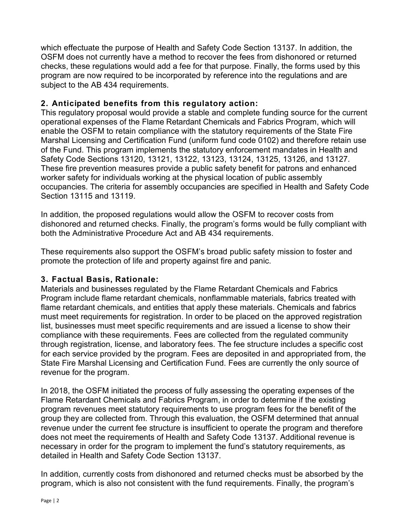which effectuate the purpose of Health and Safety Code Section 13137. In addition, the OSFM does not currently have a method to recover the fees from dishonored or returned checks, these regulations would add a fee for that purpose. Finally, the forms used by this program are now required to be incorporated by reference into the regulations and are subject to the AB 434 requirements.

## 2. Anticipated benefits from this regulatory action:

This regulatory proposal would provide a stable and complete funding source for the current operational expenses of the Flame Retardant Chemicals and Fabrics Program, which will enable the OSFM to retain compliance with the statutory requirements of the State Fire Marshal Licensing and Certification Fund (uniform fund code 0102) and therefore retain use of the Fund. This program implements the statutory enforcement mandates in Health and Safety Code Sections 13120, 13121, 13122, 13123, 13124, 13125, 13126, and 13127. These fire prevention measures provide a public safety benefit for patrons and enhanced worker safety for individuals working at the physical location of public assembly occupancies. The criteria for assembly occupancies are specified in Health and Safety Code Section 13115 and 13119.

In addition, the proposed regulations would allow the OSFM to recover costs from dishonored and returned checks. Finally, the program's forms would be fully compliant with both the Administrative Procedure Act and AB 434 requirements.

These requirements also support the OSFM's broad public safety mission to foster and promote the protection of life and property against fire and panic.

## 3. Factual Basis, Rationale:

Materials and businesses regulated by the Flame Retardant Chemicals and Fabrics Program include flame retardant chemicals, nonflammable materials, fabrics treated with flame retardant chemicals, and entities that apply these materials. Chemicals and fabrics must meet requirements for registration. In order to be placed on the approved registration list, businesses must meet specific requirements and are issued a license to show their compliance with these requirements. Fees are collected from the regulated community through registration, license, and laboratory fees. The fee structure includes a specific cost for each service provided by the program. Fees are deposited in and appropriated from, the State Fire Marshal Licensing and Certification Fund. Fees are currently the only source of revenue for the program.

In 2018, the OSFM initiated the process of fully assessing the operating expenses of the Flame Retardant Chemicals and Fabrics Program, in order to determine if the existing program revenues meet statutory requirements to use program fees for the benefit of the group they are collected from. Through this evaluation, the OSFM determined that annual revenue under the current fee structure is insufficient to operate the program and therefore does not meet the requirements of Health and Safety Code 13137. Additional revenue is necessary in order for the program to implement the fund's statutory requirements, as detailed in Health and Safety Code Section 13137.

In addition, currently costs from dishonored and returned checks must be absorbed by the program, which is also not consistent with the fund requirements. Finally, the program's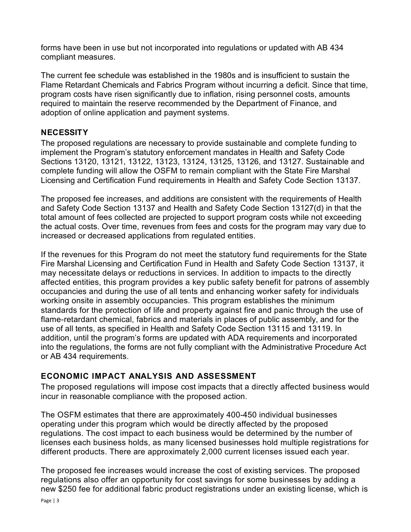forms have been in use but not incorporated into regulations or updated with AB 434 compliant measures.

The current fee schedule was established in the 1980s and is insufficient to sustain the Flame Retardant Chemicals and Fabrics Program without incurring a deficit. Since that time, program costs have risen significantly due to inflation, rising personnel costs, amounts required to maintain the reserve recommended by the Department of Finance, and adoption of online application and payment systems.

## **NECESSITY**

The proposed regulations are necessary to provide sustainable and complete funding to implement the Program's statutory enforcement mandates in Health and Safety Code Sections 13120, 13121, 13122, 13123, 13124, 13125, 13126, and 13127. Sustainable and complete funding will allow the OSFM to remain compliant with the State Fire Marshal Licensing and Certification Fund requirements in Health and Safety Code Section 13137.

The proposed fee increases, and additions are consistent with the requirements of Health and Safety Code Section 13137 and Health and Safety Code Section 13127(d) in that the total amount of fees collected are projected to support program costs while not exceeding the actual costs. Over time, revenues from fees and costs for the program may vary due to increased or decreased applications from regulated entities.

If the revenues for this Program do not meet the statutory fund requirements for the State Fire Marshal Licensing and Certification Fund in Health and Safety Code Section 13137, it may necessitate delays or reductions in services. In addition to impacts to the directly affected entities, this program provides a key public safety benefit for patrons of assembly occupancies and during the use of all tents and enhancing worker safety for individuals working onsite in assembly occupancies. This program establishes the minimum standards for the protection of life and property against fire and panic through the use of flame-retardant chemical, fabrics and materials in places of public assembly, and for the use of all tents, as specified in Health and Safety Code Section 13115 and 13119. In addition, until the program's forms are updated with ADA requirements and incorporated into the regulations, the forms are not fully compliant with the Administrative Procedure Act or AB 434 requirements.

# ECONOMIC IMPACT ANALYSIS AND ASSESSMENT

The proposed regulations will impose cost impacts that a directly affected business would incur in reasonable compliance with the proposed action.

The OSFM estimates that there are approximately 400-450 individual businesses operating under this program which would be directly affected by the proposed regulations. The cost impact to each business would be determined by the number of licenses each business holds, as many licensed businesses hold multiple registrations for different products. There are approximately 2,000 current licenses issued each year.

The proposed fee increases would increase the cost of existing services. The proposed regulations also offer an opportunity for cost savings for some businesses by adding a new \$250 fee for additional fabric product registrations under an existing license, which is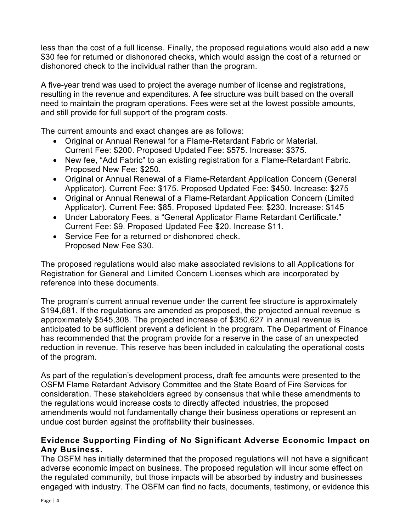less than the cost of a full license. Finally, the proposed regulations would also add a new \$30 fee for returned or dishonored checks, which would assign the cost of a returned or dishonored check to the individual rather than the program.

A five-year trend was used to project the average number of license and registrations, resulting in the revenue and expenditures. A fee structure was built based on the overall need to maintain the program operations. Fees were set at the lowest possible amounts, and still provide for full support of the program costs.

The current amounts and exact changes are as follows:

- Original or Annual Renewal for a Flame-Retardant Fabric or Material. Current Fee: \$200. Proposed Updated Fee: \$575. Increase: \$375.
- New fee, "Add Fabric" to an existing registration for a Flame-Retardant Fabric. Proposed New Fee: \$250.
- Original or Annual Renewal of a Flame-Retardant Application Concern (General Applicator). Current Fee: \$175. Proposed Updated Fee: \$450. Increase: \$275
- Original or Annual Renewal of a Flame-Retardant Application Concern (Limited Applicator). Current Fee: \$85. Proposed Updated Fee: \$230. Increase: \$145
- Under Laboratory Fees, a "General Applicator Flame Retardant Certificate." Current Fee: \$9. Proposed Updated Fee \$20. Increase \$11.
- Service Fee for a returned or dishonored check. Proposed New Fee \$30.

The proposed regulations would also make associated revisions to all Applications for Registration for General and Limited Concern Licenses which are incorporated by reference into these documents.

The program's current annual revenue under the current fee structure is approximately \$194,681. If the regulations are amended as proposed, the projected annual revenue is approximately \$545,308. The projected increase of \$350,627 in annual revenue is anticipated to be sufficient prevent a deficient in the program. The Department of Finance has recommended that the program provide for a reserve in the case of an unexpected reduction in revenue. This reserve has been included in calculating the operational costs of the program.

As part of the regulation's development process, draft fee amounts were presented to the OSFM Flame Retardant Advisory Committee and the State Board of Fire Services for consideration. These stakeholders agreed by consensus that while these amendments to the regulations would increase costs to directly affected industries, the proposed amendments would not fundamentally change their business operations or represent an undue cost burden against the profitability their businesses.

## Evidence Supporting Finding of No Significant Adverse Economic Impact on Any Business.

The OSFM has initially determined that the proposed regulations will not have a significant adverse economic impact on business. The proposed regulation will incur some effect on the regulated community, but those impacts will be absorbed by industry and businesses engaged with industry. The OSFM can find no facts, documents, testimony, or evidence this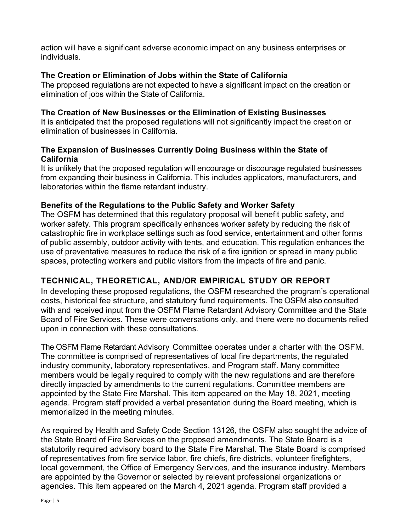action will have a significant adverse economic impact on any business enterprises or individuals.

### The Creation or Elimination of Jobs within the State of California

The proposed regulations are not expected to have a significant impact on the creation or elimination of jobs within the State of California.

#### The Creation of New Businesses or the Elimination of Existing Businesses

It is anticipated that the proposed regulations will not significantly impact the creation or elimination of businesses in California.

### The Expansion of Businesses Currently Doing Business within the State of California

It is unlikely that the proposed regulation will encourage or discourage regulated businesses from expanding their business in California. This includes applicators, manufacturers, and laboratories within the flame retardant industry.

### Benefits of the Regulations to the Public Safety and Worker Safety

The OSFM has determined that this regulatory proposal will benefit public safety, and worker safety. This program specifically enhances worker safety by reducing the risk of catastrophic fire in workplace settings such as food service, entertainment and other forms of public assembly, outdoor activity with tents, and education. This regulation enhances the use of preventative measures to reduce the risk of a fire ignition or spread in many public spaces, protecting workers and public visitors from the impacts of fire and panic.

# TECHNIC AL, THEO RETIC AL, AND/OR EMPIRICAL STUDY OR REPORT

In developing these proposed regulations, the OSFM researched the program's operational costs, historical fee structure, and statutory fund requirements. The OSFM also consulted with and received input from the OSFM Flame Retardant Advisory Committee and the State Board of Fire Services. These were conversations only, and there were no documents relied upon in connection with these consultations.

The OSFM Flame Retardant Advisory Committee operates under a charter with the OSFM. The committee is comprised of representatives of local fire departments, the regulated industry community, laboratory representatives, and Program staff. Many committee members would be legally required to comply with the new regulations and are therefore directly impacted by amendments to the current regulations. Committee members are appointed by the State Fire Marshal. This item appeared on the May 18, 2021, meeting agenda. Program staff provided a verbal presentation during the Board meeting, which is memorialized in the meeting minutes.

As required by Health and Safety Code Section 13126, the OSFM also sought the advice of the State Board of Fire Services on the proposed amendments. The State Board is a statutorily required advisory board to the State Fire Marshal. The State Board is comprised of representatives from fire service labor, fire chiefs, fire districts, volunteer firefighters, local government, the Office of Emergency Services, and the insurance industry. Members are appointed by the Governor or selected by relevant professional organizations or agencies. This item appeared on the March 4, 2021 agenda. Program staff provided a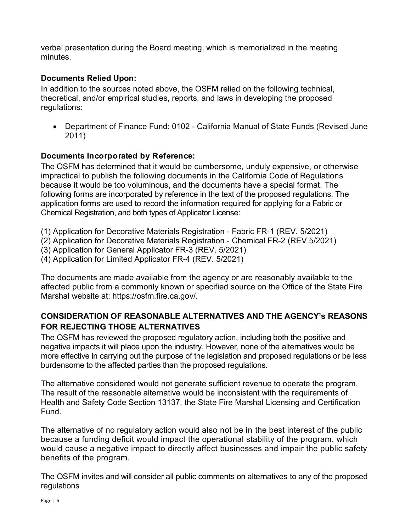verbal presentation during the Board meeting, which is memorialized in the meeting minutes.

### Documents Relied Upon:

In addition to the sources noted above, the OSFM relied on the following technical, theoretical, and/or empirical studies, reports, and laws in developing the proposed regulations:

 Department of Finance Fund: 0102 - California Manual of State Funds (Revised June 2011)

### Documents Incorporated by Reference:

The OSFM has determined that it would be cumbersome, unduly expensive, or otherwise impractical to publish the following documents in the California Code of Regulations because it would be too voluminous, and the documents have a special format. The following forms are incorporated by reference in the text of the proposed regulations. The application forms are used to record the information required for applying for a Fabric or Chemical Registration, and both types of Applicator License:

- (1) Application for Decorative Materials Registration Fabric FR-1 (REV. 5/2021)
- (2) Application for Decorative Materials Registration Chemical FR-2 (REV.5/2021)
- (3) Application for General Applicator FR-3 (REV. 5/2021)
- (4) Application for Limited Applicator FR-4 (REV. 5/2021)

The documents are made available from the agency or are reasonably available to the affected public from a commonly known or specified source on the Office of the State Fire Marshal website at: https://osfm.fire.ca.gov/.

## CONSIDERATION OF REASONABLE ALTERNATIVES AND THE AGENCY's REASONS FOR REJECTING THOSE ALTERNATIVES

The OSFM has reviewed the proposed regulatory action, including both the positive and negative impacts it will place upon the industry. However, none of the alternatives would be more effective in carrying out the purpose of the legislation and proposed regulations or be less burdensome to the affected parties than the proposed regulations.

The alternative considered would not generate sufficient revenue to operate the program. The result of the reasonable alternative would be inconsistent with the requirements of Health and Safety Code Section 13137, the State Fire Marshal Licensing and Certification Fund.

The alternative of no regulatory action would also not be in the best interest of the public because a funding deficit would impact the operational stability of the program, which would cause a negative impact to directly affect businesses and impair the public safety benefits of the program.

The OSFM invites and will consider all public comments on alternatives to any of the proposed regulations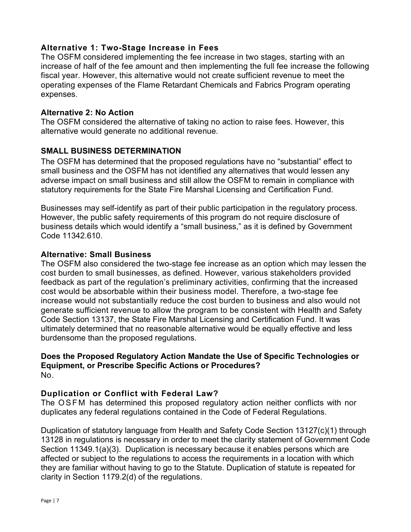### Alternative 1: Two-Stage Increase in Fees

The OSFM considered implementing the fee increase in two stages, starting with an increase of half of the fee amount and then implementing the full fee increase the following fiscal year. However, this alternative would not create sufficient revenue to meet the operating expenses of the Flame Retardant Chemicals and Fabrics Program operating expenses.

#### Alternative 2: No Action

The OSFM considered the alternative of taking no action to raise fees. However, this alternative would generate no additional revenue.

#### SMALL BUSINESS DETERMINATION

The OSFM has determined that the proposed regulations have no "substantial" effect to small business and the OSFM has not identified any alternatives that would lessen any adverse impact on small business and still allow the OSFM to remain in compliance with statutory requirements for the State Fire Marshal Licensing and Certification Fund.

Businesses may self-identify as part of their public participation in the regulatory process. However, the public safety requirements of this program do not require disclosure of business details which would identify a "small business," as it is defined by Government Code 11342.610.

#### Alternative: Small Business

The OSFM also considered the two-stage fee increase as an option which may lessen the cost burden to small businesses, as defined. However, various stakeholders provided feedback as part of the regulation's preliminary activities, confirming that the increased cost would be absorbable within their business model. Therefore, a two-stage fee increase would not substantially reduce the cost burden to business and also would not generate sufficient revenue to allow the program to be consistent with Health and Safety Code Section 13137, the State Fire Marshal Licensing and Certification Fund. It was ultimately determined that no reasonable alternative would be equally effective and less burdensome than the proposed regulations.

#### Does the Proposed Regulatory Action Mandate the Use of Specific Technologies or Equipment, or Prescribe Specific Actions or Procedures? No.

#### Duplication or Conflict with Federal Law?

The OSFM has determined this proposed regulatory action neither conflicts with nor duplicates any federal regulations contained in the Code of Federal Regulations.

Duplication of statutory language from Health and Safety Code Section 13127(c)(1) through 13128 in regulations is necessary in order to meet the clarity statement of Government Code Section 11349.1(a)(3). Duplication is necessary because it enables persons which are affected or subject to the regulations to access the requirements in a location with which they are familiar without having to go to the Statute. Duplication of statute is repeated for clarity in Section 1179.2(d) of the regulations.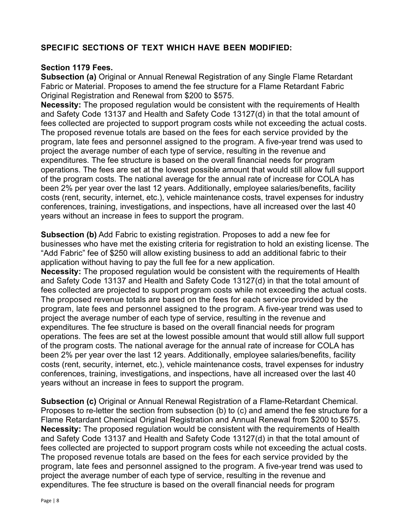## SPECIFIC SECTIONS OF TEXT WHICH HAVE BEEN MODIFIED:

#### Section 1179 Fees.

Subsection (a) Original or Annual Renewal Registration of any Single Flame Retardant Fabric or Material. Proposes to amend the fee structure for a Flame Retardant Fabric Original Registration and Renewal from \$200 to \$575.

Necessity: The proposed regulation would be consistent with the requirements of Health and Safety Code 13137 and Health and Safety Code 13127(d) in that the total amount of fees collected are projected to support program costs while not exceeding the actual costs. The proposed revenue totals are based on the fees for each service provided by the program, late fees and personnel assigned to the program. A five-year trend was used to project the average number of each type of service, resulting in the revenue and expenditures. The fee structure is based on the overall financial needs for program operations. The fees are set at the lowest possible amount that would still allow full support of the program costs. The national average for the annual rate of increase for COLA has been 2% per year over the last 12 years. Additionally, employee salaries/benefits, facility costs (rent, security, internet, etc.), vehicle maintenance costs, travel expenses for industry conferences, training, investigations, and inspections, have all increased over the last 40 years without an increase in fees to support the program.

Subsection (b) Add Fabric to existing registration. Proposes to add a new fee for businesses who have met the existing criteria for registration to hold an existing license. The "Add Fabric" fee of \$250 will allow existing business to add an additional fabric to their application without having to pay the full fee for a new application.

Necessity: The proposed regulation would be consistent with the requirements of Health and Safety Code 13137 and Health and Safety Code 13127(d) in that the total amount of fees collected are projected to support program costs while not exceeding the actual costs. The proposed revenue totals are based on the fees for each service provided by the program, late fees and personnel assigned to the program. A five-year trend was used to project the average number of each type of service, resulting in the revenue and expenditures. The fee structure is based on the overall financial needs for program operations. The fees are set at the lowest possible amount that would still allow full support of the program costs. The national average for the annual rate of increase for COLA has been 2% per year over the last 12 years. Additionally, employee salaries/benefits, facility costs (rent, security, internet, etc.), vehicle maintenance costs, travel expenses for industry conferences, training, investigations, and inspections, have all increased over the last 40 years without an increase in fees to support the program.

Subsection (c) Original or Annual Renewal Registration of a Flame-Retardant Chemical. Proposes to re-letter the section from subsection (b) to (c) and amend the fee structure for a Flame Retardant Chemical Original Registration and Annual Renewal from \$200 to \$575. Necessity: The proposed requlation would be consistent with the requirements of Health and Safety Code 13137 and Health and Safety Code 13127(d) in that the total amount of fees collected are projected to support program costs while not exceeding the actual costs. The proposed revenue totals are based on the fees for each service provided by the program, late fees and personnel assigned to the program. A five-year trend was used to project the average number of each type of service, resulting in the revenue and expenditures. The fee structure is based on the overall financial needs for program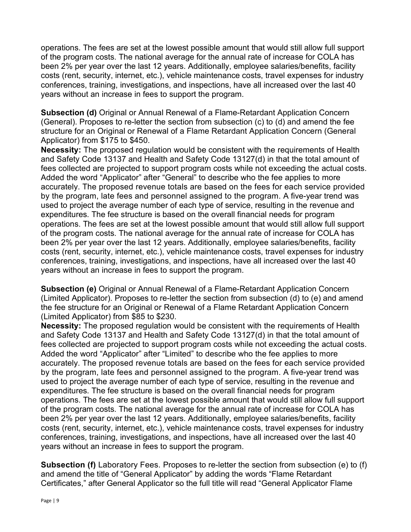operations. The fees are set at the lowest possible amount that would still allow full support of the program costs. The national average for the annual rate of increase for COLA has been 2% per year over the last 12 years. Additionally, employee salaries/benefits, facility costs (rent, security, internet, etc.), vehicle maintenance costs, travel expenses for industry conferences, training, investigations, and inspections, have all increased over the last 40 years without an increase in fees to support the program.

Subsection (d) Original or Annual Renewal of a Flame-Retardant Application Concern (General). Proposes to re-letter the section from subsection (c) to (d) and amend the fee structure for an Original or Renewal of a Flame Retardant Application Concern (General Applicator) from \$175 to \$450.

Necessity: The proposed regulation would be consistent with the requirements of Health and Safety Code 13137 and Health and Safety Code 13127(d) in that the total amount of fees collected are projected to support program costs while not exceeding the actual costs. Added the word "Applicator" after "General" to describe who the fee applies to more accurately. The proposed revenue totals are based on the fees for each service provided by the program, late fees and personnel assigned to the program. A five-year trend was used to project the average number of each type of service, resulting in the revenue and expenditures. The fee structure is based on the overall financial needs for program operations. The fees are set at the lowest possible amount that would still allow full support of the program costs. The national average for the annual rate of increase for COLA has been 2% per year over the last 12 years. Additionally, employee salaries/benefits, facility costs (rent, security, internet, etc.), vehicle maintenance costs, travel expenses for industry conferences, training, investigations, and inspections, have all increased over the last 40 years without an increase in fees to support the program.

Subsection (e) Original or Annual Renewal of a Flame-Retardant Application Concern (Limited Applicator). Proposes to re-letter the section from subsection (d) to (e) and amend the fee structure for an Original or Renewal of a Flame Retardant Application Concern (Limited Applicator) from \$85 to \$230.

Necessity: The proposed requlation would be consistent with the requirements of Health and Safety Code 13137 and Health and Safety Code 13127(d) in that the total amount of fees collected are projected to support program costs while not exceeding the actual costs. Added the word "Applicator" after "Limited" to describe who the fee applies to more accurately. The proposed revenue totals are based on the fees for each service provided by the program, late fees and personnel assigned to the program. A five-year trend was used to project the average number of each type of service, resulting in the revenue and expenditures. The fee structure is based on the overall financial needs for program operations. The fees are set at the lowest possible amount that would still allow full support of the program costs. The national average for the annual rate of increase for COLA has been 2% per year over the last 12 years. Additionally, employee salaries/benefits, facility costs (rent, security, internet, etc.), vehicle maintenance costs, travel expenses for industry conferences, training, investigations, and inspections, have all increased over the last 40 years without an increase in fees to support the program.

Subsection (f) Laboratory Fees. Proposes to re-letter the section from subsection (e) to (f) and amend the title of "General Applicator" by adding the words "Flame Retardant Certificates," after General Applicator so the full title will read "General Applicator Flame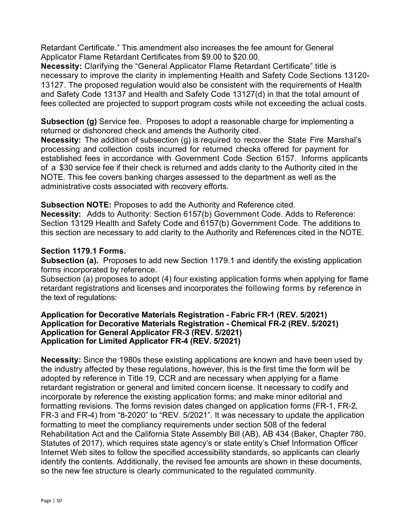Retardant Certificate." This amendment also increases the fee amount for General Applicator Flame Retardant Certificates from \$9.00 to \$20.00.

Necessity: Clarifying the "General Applicator Flame Retardant Certificate" title is necessary to improve the clarity in implementing Health and Safety Code Sections 13120- 13127. The proposed regulation would also be consistent with the requirements of Health and Safety Code 13137 and Health and Safety Code 13127(d) in that the total amount of fees collected are projected to support program costs while not exceeding the actual costs.

Subsection (g) Service fee. Proposes to adopt a reasonable charge for implementing a returned or dishonored check and amends the Authority cited.

Necessity: The addition of subsection (g) is required to recover the State Fire Marshal's processing and collection costs incurred for returned checks offered for payment for established fees in accordance with Government Code Section 6157. Informs applicants of a \$30 service fee if their check is returned and adds clarity to the Authority cited in the NOTE. This fee covers banking charges assessed to the department as well as the administrative costs associated with recovery efforts.

#### Subsection NOTE: Proposes to add the Authority and Reference cited.

Necessity: Adds to Authority: Section 6157(b) Government Code. Adds to Reference: Section 13129 Health and Safety Code and 6157(b) Government Code. The additions to this section are necessary to add clarity to the Authority and References cited in the NOTE.

#### Section 1179.1 Forms.

Subsection (a). Proposes to add new Section 1179.1 and identify the existing application forms incorporated by reference.

Subsection (a) proposes to adopt (4) four existing application forms when applying for flame retardant registrations and licenses and incorporates the following forms by reference in the text of regulations:

#### Application for Decorative Materials Registration - Fabric FR-1 (REV. 5/2021) Application for Decorative Materials Registration - Chemical FR-2 (REV. 5/2021) Application for General Applicator FR-3 (REV. 5/2021) Application for Limited Applicator FR-4 (REV. 5/2021)

Necessity: Since the 1980s these existing applications are known and have been used by the industry affected by these regulations, however, this is the first time the form will be adopted by reference in Title 19, CCR and are necessary when applying for a flame retardant registration or general and limited concern license. It necessary to codify and incorporate by reference the existing application forms; and make minor editorial and formatting revisions. The forms revision dates changed on application forms (FR-1, FR-2, FR-3 and FR-4) from "8-2020" to "REV. 5/2021". It was necessary to update the application formatting to meet the compliancy requirements under section 508 of the federal Rehabilitation Act and the California State Assembly Bill (AB), AB 434 (Baker, Chapter 780, Statutes of 2017), which requires state agency's or state entity's Chief Information Officer Internet Web sites to follow the specified accessibility standards, so applicants can clearly identify the contents. Additionally, the revised fee amounts are shown in these documents, so the new fee structure is clearly communicated to the regulated community.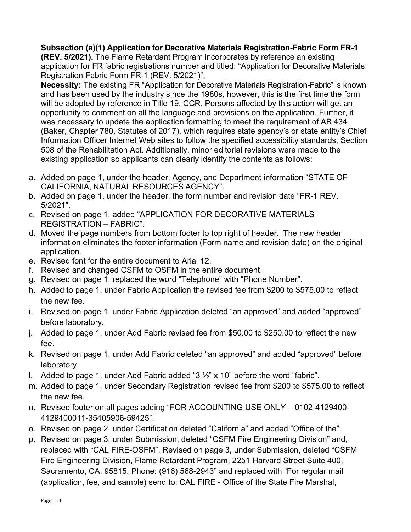## Subsection (a)(1) Application for Decorative Materials Registration-Fabric Form FR-1

(REV. 5/2021). The Flame Retardant Program incorporates by reference an existing application for FR fabric registrations number and titled: "Application for Decorative Materials Registration-Fabric Form FR-1 (REV. 5/2021)".

Necessity: The existing FR "Application for Decorative Materials Registration-Fabric" is known and has been used by the industry since the 1980s, however, this is the first time the form will be adopted by reference in Title 19, CCR. Persons affected by this action will get an opportunity to comment on all the language and provisions on the application. Further, it was necessary to update the application formatting to meet the requirement of AB 434 (Baker, Chapter 780, Statutes of 2017), which requires state agency's or state entity's Chief Information Officer Internet Web sites to follow the specified accessibility standards, Section 508 of the Rehabilitation Act. Additionally, minor editorial revisions were made to the existing application so applicants can clearly identify the contents as follows:

- a. Added on page 1, under the header, Agency, and Department information "STATE OF CALIFORNIA, NATURAL RESOURCES AGENCY".
- b. Added on page 1, under the header, the form number and revision date "FR-1 REV. 5/2021".
- c. Revised on page 1, added "APPLICATION FOR DECORATIVE MATERIALS REGISTRATION – FABRIC".
- d. Moved the page numbers from bottom footer to top right of header. The new header information eliminates the footer information (Form name and revision date) on the original application.
- e. Revised font for the entire document to Arial 12.
- f. Revised and changed CSFM to OSFM in the entire document.
- g. Revised on page 1, replaced the word "Telephone" with "Phone Number".
- h. Added to page 1, under Fabric Application the revised fee from \$200 to \$575.00 to reflect the new fee.
- i. Revised on page 1, under Fabric Application deleted "an approved" and added "approved" before laboratory.
- j. Added to page 1, under Add Fabric revised fee from \$50.00 to \$250.00 to reflect the new fee.
- k. Revised on page 1, under Add Fabric deleted "an approved" and added "approved" before laboratory.
- I. Added to page 1, under Add Fabric added "3  $\frac{1}{2}$ " x 10" before the word "fabric".
- m. Added to page 1, under Secondary Registration revised fee from \$200 to \$575.00 to reflect the new fee.
- n. Revised footer on all pages adding "FOR ACCOUNTING USE ONLY 0102-4129400- 4129400011-35405906-59425".
- o. Revised on page 2, under Certification deleted "California" and added "Office of the".
- p. Revised on page 3, under Submission, deleted "CSFM Fire Engineering Division" and, replaced with "CAL FIRE-OSFM". Revised on page 3, under Submission, deleted "CSFM Fire Engineering Division, Flame Retardant Program, 2251 Harvard Street Suite 400, Sacramento, CA. 95815, Phone: (916) 568-2943" and replaced with "For regular mail (application, fee, and sample) send to: CAL FIRE - Office of the State Fire Marshal,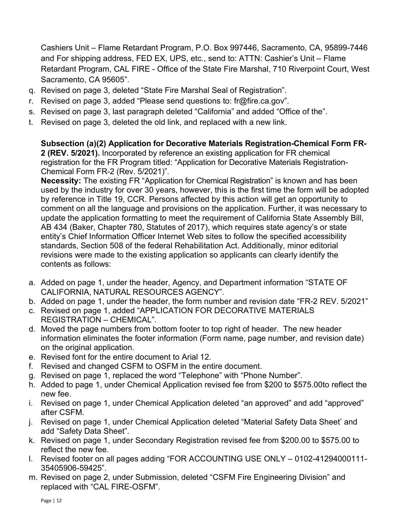Cashiers Unit – Flame Retardant Program, P.O. Box 997446, Sacramento, CA, 95899-7446 and For shipping address, FED EX, UPS, etc., send to: ATTN: Cashier's Unit – Flame Retardant Program, CAL FIRE - Office of the State Fire Marshal, 710 Riverpoint Court, West Sacramento, CA 95605".

- q. Revised on page 3, deleted "State Fire Marshal Seal of Registration".
- r. Revised on page 3, added "Please send questions to: fr@fire.ca.gov".
- s. Revised on page 3, last paragraph deleted "California" and added "Office of the".
- t. Revised on page 3, deleted the old link, and replaced with a new link.

Subsection (a)(2) Application for Decorative Materials Registration-Chemical Form FR-2 (REV. 5/2021). Incorporated by reference an existing application for FR chemical registration for the FR Program titled: "Application for Decorative Materials Registration-Chemical Form FR-2 (Rev. 5/2021)".

Necessity: The existing FR "Application for Chemical Registration" is known and has been used by the industry for over 30 years, however, this is the first time the form will be adopted by reference in Title 19, CCR. Persons affected by this action will get an opportunity to comment on all the language and provisions on the application. Further, it was necessary to update the application formatting to meet the requirement of California State Assembly Bill, AB 434 (Baker, Chapter 780, Statutes of 2017), which requires state agency's or state entity's Chief Information Officer Internet Web sites to follow the specified accessibility standards, Section 508 of the federal Rehabilitation Act. Additionally, minor editorial revisions were made to the existing application so applicants can clearly identify the contents as follows:

- a. Added on page 1, under the header, Agency, and Department information "STATE OF CALIFORNIA, NATURAL RESOURCES AGENCY".
- b. Added on page 1, under the header, the form number and revision date "FR-2 REV. 5/2021"
- c. Revised on page 1, added "APPLICATION FOR DECORATIVE MATERIALS REGISTRATION – CHEMICAL".
- d. Moved the page numbers from bottom footer to top right of header. The new header information eliminates the footer information (Form name, page number, and revision date) on the original application.
- e. Revised font for the entire document to Arial 12.
- f. Revised and changed CSFM to OSFM in the entire document.
- g. Revised on page 1, replaced the word "Telephone" with "Phone Number".
- h. Added to page 1, under Chemical Application revised fee from \$200 to \$575.00to reflect the new fee.
- i. Revised on page 1, under Chemical Application deleted "an approved" and add "approved" after CSFM.
- j. Revised on page 1, under Chemical Application deleted "Material Safety Data Sheet' and add "Safety Data Sheet".
- k. Revised on page 1, under Secondary Registration revised fee from \$200.00 to \$575.00 to reflect the new fee.
- l. Revised footer on all pages adding "FOR ACCOUNTING USE ONLY 0102-41294000111- 35405906-59425".
- m. Revised on page 2, under Submission, deleted "CSFM Fire Engineering Division" and replaced with "CAL FIRE-OSFM".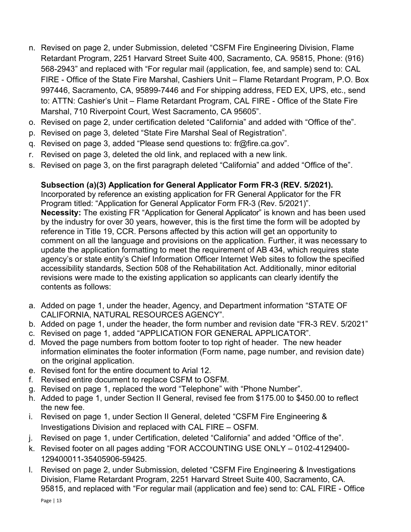- n. Revised on page 2, under Submission, deleted "CSFM Fire Engineering Division, Flame Retardant Program, 2251 Harvard Street Suite 400, Sacramento, CA. 95815, Phone: (916) 568-2943" and replaced with "For regular mail (application, fee, and sample) send to: CAL FIRE - Office of the State Fire Marshal, Cashiers Unit – Flame Retardant Program, P.O. Box 997446, Sacramento, CA, 95899-7446 and For shipping address, FED EX, UPS, etc., send to: ATTN: Cashier's Unit – Flame Retardant Program, CAL FIRE - Office of the State Fire Marshal, 710 Riverpoint Court, West Sacramento, CA 95605".
- o. Revised on page 2, under certification deleted "California" and added with "Office of the".
- p. Revised on page 3, deleted "State Fire Marshal Seal of Registration".
- q. Revised on page 3, added "Please send questions to: fr@fire.ca.gov".
- r. Revised on page 3, deleted the old link, and replaced with a new link.
- s. Revised on page 3, on the first paragraph deleted "California" and added "Office of the".

# Subsection (a)(3) Application for General Applicator Form FR-3 (REV. 5/2021).

Incorporated by reference an existing application for FR General Applicator for the FR Program titled: "Application for General Applicator Form FR-3 (Rev. 5/2021)". Necessity: The existing FR "Application for General Applicator" is known and has been used by the industry for over 30 years, however, this is the first time the form will be adopted by reference in Title 19, CCR. Persons affected by this action will get an opportunity to comment on all the language and provisions on the application. Further, it was necessary to update the application formatting to meet the requirement of AB 434, which requires state agency's or state entity's Chief Information Officer Internet Web sites to follow the specified accessibility standards, Section 508 of the Rehabilitation Act. Additionally, minor editorial revisions were made to the existing application so applicants can clearly identify the contents as follows:

- a. Added on page 1, under the header, Agency, and Department information "STATE OF CALIFORNIA, NATURAL RESOURCES AGENCY".
- b. Added on page 1, under the header, the form number and revision date "FR-3 REV. 5/2021"
- c. Revised on page 1, added "APPLICATION FOR GENERAL APPLICATOR".
- d. Moved the page numbers from bottom footer to top right of header. The new header information eliminates the footer information (Form name, page number, and revision date) on the original application.
- e. Revised font for the entire document to Arial 12.
- f. Revised entire document to replace CSFM to OSFM.
- g. Revised on page 1, replaced the word "Telephone" with "Phone Number".
- h. Added to page 1, under Section II General, revised fee from \$175.00 to \$450.00 to reflect the new fee.
- i. Revised on page 1, under Section II General, deleted "CSFM Fire Engineering & Investigations Division and replaced with CAL FIRE – OSFM.
- j. Revised on page 1, under Certification, deleted "California" and added "Office of the".
- k. Revised footer on all pages adding "FOR ACCOUNTING USE ONLY 0102-4129400- 129400011-35405906-59425.
- l. Revised on page 2, under Submission, deleted "CSFM Fire Engineering & Investigations Division, Flame Retardant Program, 2251 Harvard Street Suite 400, Sacramento, CA. 95815, and replaced with "For regular mail (application and fee) send to: CAL FIRE - Office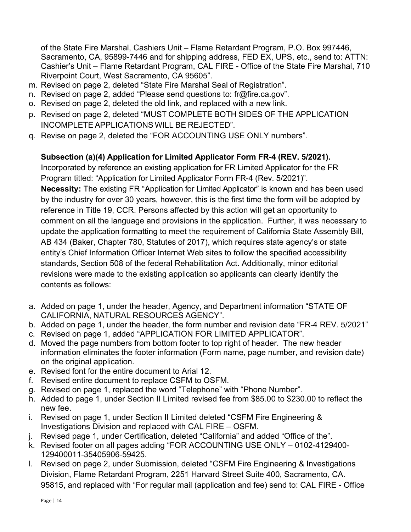of the State Fire Marshal, Cashiers Unit – Flame Retardant Program, P.O. Box 997446, Sacramento, CA, 95899-7446 and for shipping address, FED EX, UPS, etc., send to: ATTN: Cashier's Unit – Flame Retardant Program, CAL FIRE - Office of the State Fire Marshal, 710 Riverpoint Court, West Sacramento, CA 95605".

- m. Revised on page 2, deleted "State Fire Marshal Seal of Registration".
- n. Revised on page 2, added "Please send questions to: fr@fire.ca.gov".
- o. Revised on page 2, deleted the old link, and replaced with a new link.
- p. Revised on page 2, deleted "MUST COMPLETE BOTH SIDES OF THE APPLICATION INCOMPLETE APPLICATIONS WILL BE REJECTED".
- q. Revise on page 2, deleted the "FOR ACCOUNTING USE ONLY numbers".

## Subsection (a)(4) Application for Limited Applicator Form FR-4 (REV. 5/2021).

Incorporated by reference an existing application for FR Limited Applicator for the FR Program titled: "Application for Limited Applicator Form FR-4 (Rev. 5/2021)". Necessity: The existing FR "Application for Limited Applicator" is known and has been used by the industry for over 30 years, however, this is the first time the form will be adopted by reference in Title 19, CCR. Persons affected by this action will get an opportunity to comment on all the language and provisions in the application. Further, it was necessary to update the application formatting to meet the requirement of California State Assembly Bill, AB 434 (Baker, Chapter 780, Statutes of 2017), which requires state agency's or state entity's Chief Information Officer Internet Web sites to follow the specified accessibility standards, Section 508 of the federal Rehabilitation Act. Additionally, minor editorial revisions were made to the existing application so applicants can clearly identify the contents as follows:

- a. Added on page 1, under the header, Agency, and Department information "STATE OF CALIFORNIA, NATURAL RESOURCES AGENCY".
- b. Added on page 1, under the header, the form number and revision date "FR-4 REV. 5/2021"
- c. Revised on page 1, added "APPLICATION FOR LIMITED APPLICATOR".
- d. Moved the page numbers from bottom footer to top right of header. The new header information eliminates the footer information (Form name, page number, and revision date) on the original application.
- e. Revised font for the entire document to Arial 12.
- f. Revised entire document to replace CSFM to OSFM.
- g. Revised on page 1, replaced the word "Telephone" with "Phone Number".
- h. Added to page 1, under Section II Limited revised fee from \$85.00 to \$230.00 to reflect the new fee.
- i. Revised on page 1, under Section II Limited deleted "CSFM Fire Engineering & Investigations Division and replaced with CAL FIRE – OSFM.
- j. Revised page 1, under Certification, deleted "California" and added "Office of the".
- k. Revised footer on all pages adding "FOR ACCOUNTING USE ONLY 0102-4129400- 129400011-35405906-59425.
- l. Revised on page 2, under Submission, deleted "CSFM Fire Engineering & Investigations Division, Flame Retardant Program, 2251 Harvard Street Suite 400, Sacramento, CA. 95815, and replaced with "For regular mail (application and fee) send to: CAL FIRE - Office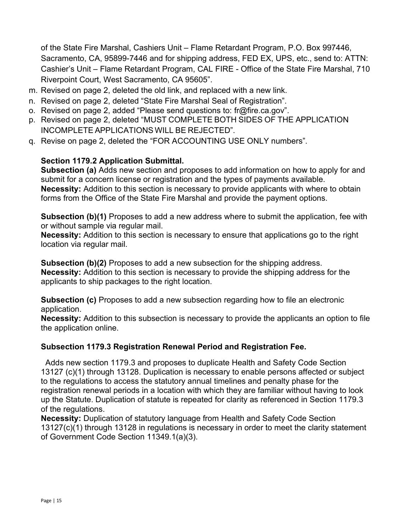of the State Fire Marshal, Cashiers Unit – Flame Retardant Program, P.O. Box 997446, Sacramento, CA, 95899-7446 and for shipping address, FED EX, UPS, etc., send to: ATTN: Cashier's Unit – Flame Retardant Program, CAL FIRE - Office of the State Fire Marshal, 710 Riverpoint Court, West Sacramento, CA 95605".

- m. Revised on page 2, deleted the old link, and replaced with a new link.
- n. Revised on page 2, deleted "State Fire Marshal Seal of Registration".
- o. Revised on page 2, added "Please send questions to: fr@fire.ca.gov".
- p. Revised on page 2, deleted "MUST COMPLETE BOTH SIDES OF THE APPLICATION INCOMPLETE APPLICATIONS WILL BE REJECTED".
- q. Revise on page 2, deleted the "FOR ACCOUNTING USE ONLY numbers".

### Section 1179.2 Application Submittal.

Subsection (a) Adds new section and proposes to add information on how to apply for and submit for a concern license or registration and the types of payments available. Necessity: Addition to this section is necessary to provide applicants with where to obtain forms from the Office of the State Fire Marshal and provide the payment options.

Subsection (b)(1) Proposes to add a new address where to submit the application, fee with or without sample via regular mail.

Necessity: Addition to this section is necessary to ensure that applications go to the right location via regular mail.

Subsection (b)(2) Proposes to add a new subsection for the shipping address. Necessity: Addition to this section is necessary to provide the shipping address for the applicants to ship packages to the right location.

Subsection (c) Proposes to add a new subsection regarding how to file an electronic application.

Necessity: Addition to this subsection is necessary to provide the applicants an option to file the application online.

#### Subsection 1179.3 Registration Renewal Period and Registration Fee.

 Adds new section 1179.3 and proposes to duplicate Health and Safety Code Section 13127 (c)(1) through 13128. Duplication is necessary to enable persons affected or subject to the regulations to access the statutory annual timelines and penalty phase for the registration renewal periods in a location with which they are familiar without having to look up the Statute. Duplication of statute is repeated for clarity as referenced in Section 1179.3 of the regulations.

Necessity: Duplication of statutory language from Health and Safety Code Section 13127(c)(1) through 13128 in regulations is necessary in order to meet the clarity statement of Government Code Section 11349.1(a)(3).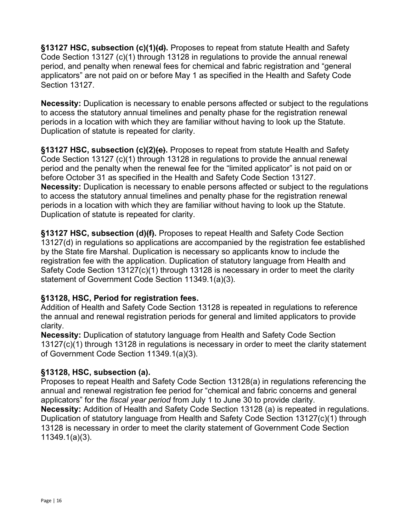§13127 HSC, subsection (c)(1)(d). Proposes to repeat from statute Health and Safety Code Section 13127 (c)(1) through 13128 in regulations to provide the annual renewal period, and penalty when renewal fees for chemical and fabric registration and "general applicators" are not paid on or before May 1 as specified in the Health and Safety Code Section 13127.

Necessity: Duplication is necessary to enable persons affected or subject to the regulations to access the statutory annual timelines and penalty phase for the registration renewal periods in a location with which they are familiar without having to look up the Statute. Duplication of statute is repeated for clarity.

§13127 HSC, subsection (c)(2)(e). Proposes to repeat from statute Health and Safety Code Section 13127 (c)(1) through 13128 in regulations to provide the annual renewal period and the penalty when the renewal fee for the "limited applicator" is not paid on or before October 31 as specified in the Health and Safety Code Section 13127. Necessity: Duplication is necessary to enable persons affected or subject to the regulations to access the statutory annual timelines and penalty phase for the registration renewal periods in a location with which they are familiar without having to look up the Statute. Duplication of statute is repeated for clarity.

§13127 HSC, subsection (d)(f). Proposes to repeat Health and Safety Code Section 13127(d) in regulations so applications are accompanied by the registration fee established by the State fire Marshal. Duplication is necessary so applicants know to include the registration fee with the application. Duplication of statutory language from Health and Safety Code Section 13127(c)(1) through 13128 is necessary in order to meet the clarity statement of Government Code Section 11349.1(a)(3).

## §13128, HSC, Period for registration fees.

Addition of Health and Safety Code Section 13128 is repeated in regulations to reference the annual and renewal registration periods for general and limited applicators to provide clarity.

Necessity: Duplication of statutory language from Health and Safety Code Section 13127(c)(1) through 13128 in regulations is necessary in order to meet the clarity statement of Government Code Section 11349.1(a)(3).

# §13128, HSC, subsection (a).

Proposes to repeat Health and Safety Code Section 13128(a) in regulations referencing the annual and renewal registration fee period for "chemical and fabric concerns and general applicators" for the *fiscal year period* from July 1 to June 30 to provide clarity. Necessity: Addition of Health and Safety Code Section 13128 (a) is repeated in regulations. Duplication of statutory language from Health and Safety Code Section 13127(c)(1) through 13128 is necessary in order to meet the clarity statement of Government Code Section 11349.1(a)(3).